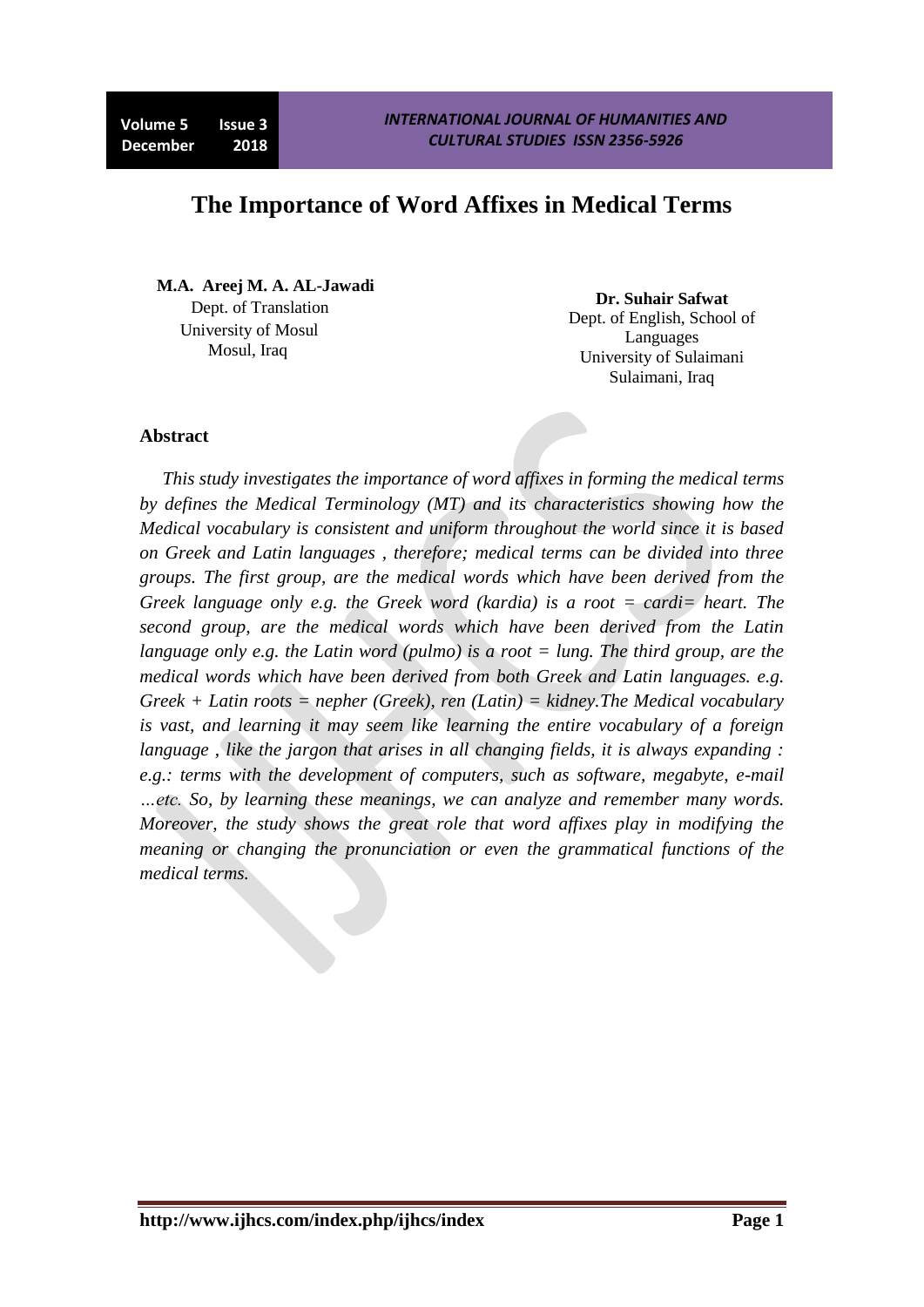# **The Importance of Word Affixes in Medical Terms**

 **M.A. Areej M. A. AL-Jawadi**  Dept. of Translation University of Mosul Mosul, Iraq

**Dr. Suhair Safwat** Dept. of English, School of Languages University of Sulaimani Sulaimani, Iraq

#### **Abstract**

*This study investigates the importance of word affixes in forming the medical terms by defines the Medical Terminology (MT) and its characteristics showing how the Medical vocabulary is consistent and uniform throughout the world since it is based on Greek and Latin languages , therefore; medical terms can be divided into three groups. The first group, are the medical words which have been derived from the Greek language only e.g. the Greek word (kardia) is a root = cardi= heart. The second group, are the medical words which have been derived from the Latin language only e.g. the Latin word (pulmo) is a root = lung. The third group, are the medical words which have been derived from both Greek and Latin languages. e.g. Greek + Latin roots = nepher (Greek), ren (Latin) = kidney.The Medical vocabulary is vast, and learning it may seem like learning the entire vocabulary of a foreign language , like the jargon that arises in all changing fields, it is always expanding : e.g.: terms with the development of computers, such as software, megabyte, e-mail …etc. So, by learning these meanings, we can analyze and remember many words. Moreover, the study shows the great role that word affixes play in modifying the meaning or changing the pronunciation or even the grammatical functions of the medical terms.*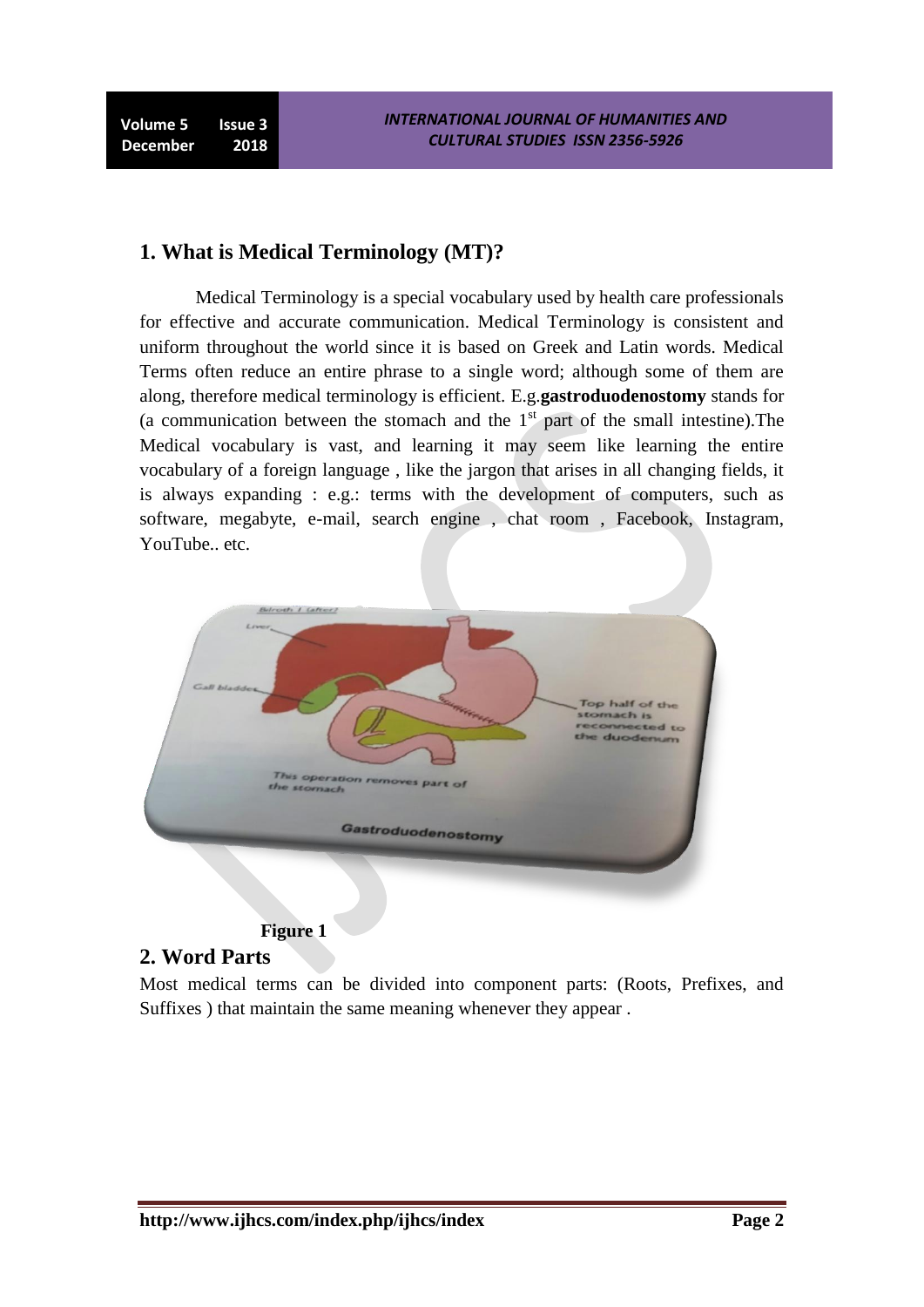**Volume 5 Issue 3 December 2018**

### **1. What is Medical Terminology (MT)?**

Medical Terminology is a special vocabulary used by health care professionals for effective and accurate communication. Medical Terminology is consistent and uniform throughout the world since it is based on Greek and Latin words. Medical Terms often reduce an entire phrase to a single word; although some of them are along, therefore medical terminology is efficient. E.g.**gastroduodenostomy** stands for (a communication between the stomach and the  $1<sup>st</sup>$  part of the small intestine). The Medical vocabulary is vast, and learning it may seem like learning the entire vocabulary of a foreign language , like the jargon that arises in all changing fields, it is always expanding : e.g.: terms with the development of computers, such as software, megabyte, e-mail, search engine , chat room , Facebook, Instagram, YouTube.. etc.



#### **Figure 1**

#### **2. Word Parts**

Most medical terms can be divided into component parts: (Roots, Prefixes, and Suffixes ) that maintain the same meaning whenever they appear .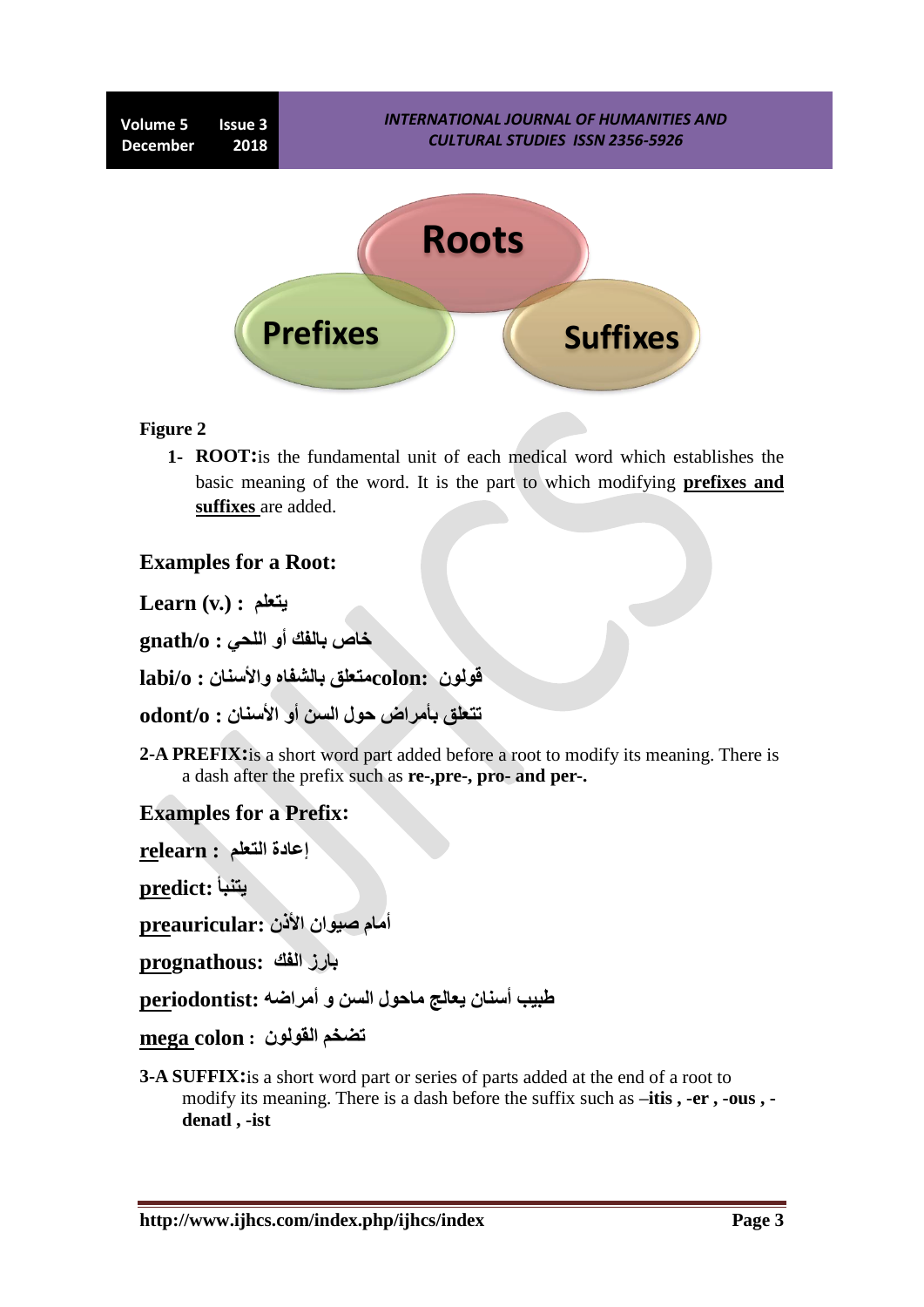

#### **Figure 2**

**1- ROOT:**is the fundamental unit of each medical word which establishes the basic meaning of the word. It is the part to which modifying **prefixes and suffixes** are added.

### **Examples for a Root:**

**Learn (v.) : يتعلن**

**خاص تالفك أو اللحي : o/gnath**

**قىلىن :colonهتعلق تالشفاه واألسنان : o/labi**

**تتعلق تأهراض حىل السن أو األسنان : o/odont**

**2-A PREFIX:**is a short word part added before a root to modify its meaning. There is a dash after the prefix such as **re-,pre-, pro- and per-.**

### **Examples for a Prefix:**

**إعادج التعلن : relearn**

**يتنثأ :predict**

**أهام صيىان األذن :preauricular**

**تارز الفك :prognathous**

**طثية أسنان يعالج هاحىل السن و أهراضو :periodontist**

**تضخن القىلىن : colon mega**

**3-A SUFFIX:**is a short word part or series of parts added at the end of a root to modify its meaning. There is a dash before the suffix such as **–itis , -er , -ous , denatl , -ist**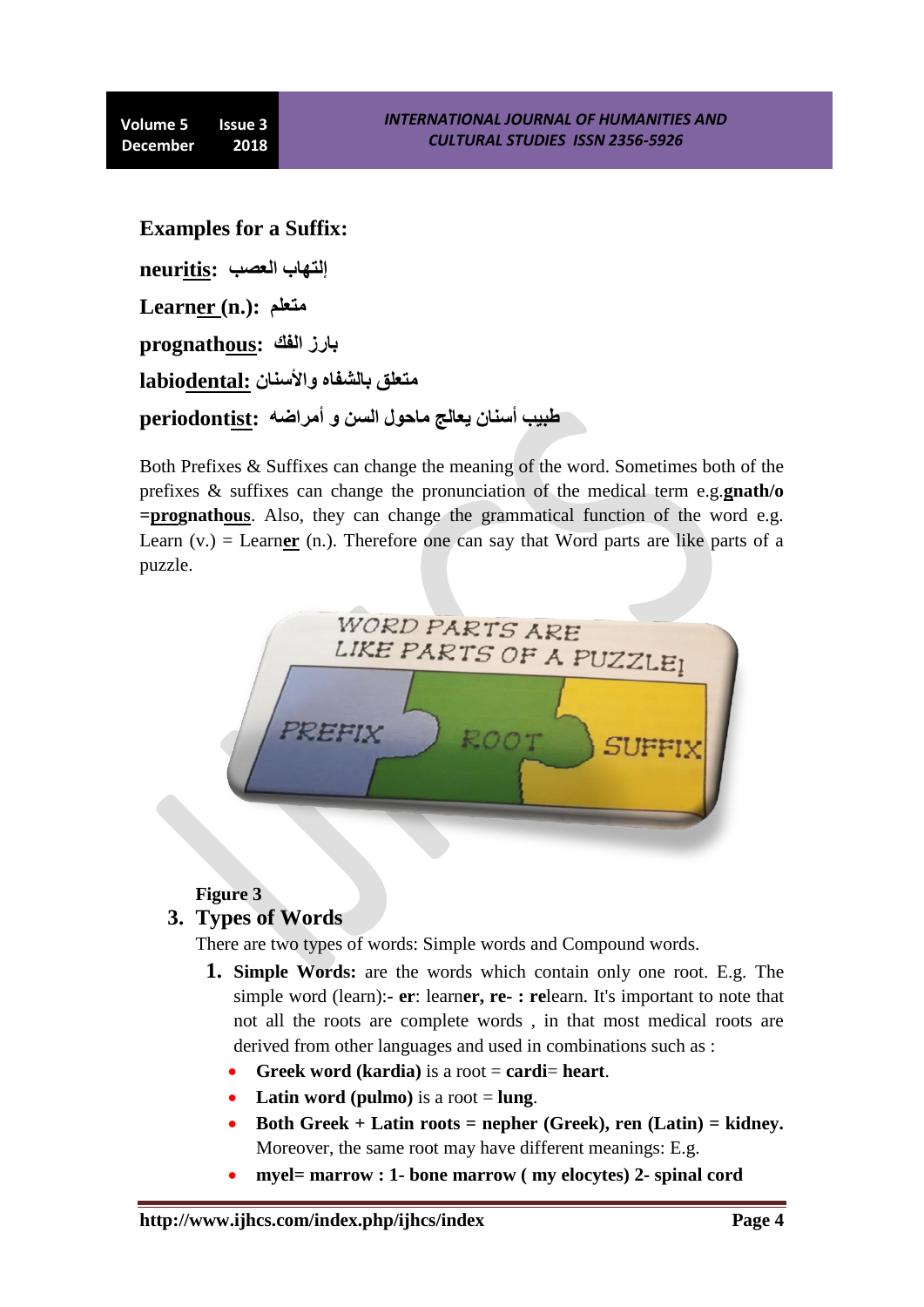**Examples for a Suffix:**

**إلتهاب العصة :neuritis**

**Learner (n.): هتعلن**

**تارز الفك :prognathous**

**هتعلق تالشفاه واألسنان :labiodental**

**طثية أسنان يعالج هاحىل السن و أهراضو :periodontist**

Both Prefixes & Suffixes can change the meaning of the word. Sometimes both of the prefixes & suffixes can change the pronunciation of the medical term e.g.**gnath/o =prognathous**. Also, they can change the grammatical function of the word e.g. Learn  $(v.)$  = Learner  $(n.)$ . Therefore one can say that Word parts are like parts of a puzzle.



**Figure 3**

### **3. Types of Words**

There are two types of words: Simple words and Compound words.

- **1. Simple Words:** are the words which contain only one root. E.g. The simple word (learn):**- er**: learn**er, re- : re**learn. It's important to note that not all the roots are complete words , in that most medical roots are derived from other languages and used in combinations such as :
	- **Greek word (kardia)** is a root = **cardi**= **heart**.
	- Latin word (pulmo) is a root  $=$  lung.
	- **Both Greek + Latin roots = nepher (Greek), ren (Latin) = kidney.** Moreover, the same root may have different meanings: E.g.
	- **myel= marrow : 1- bone marrow ( my elocytes) 2- spinal cord**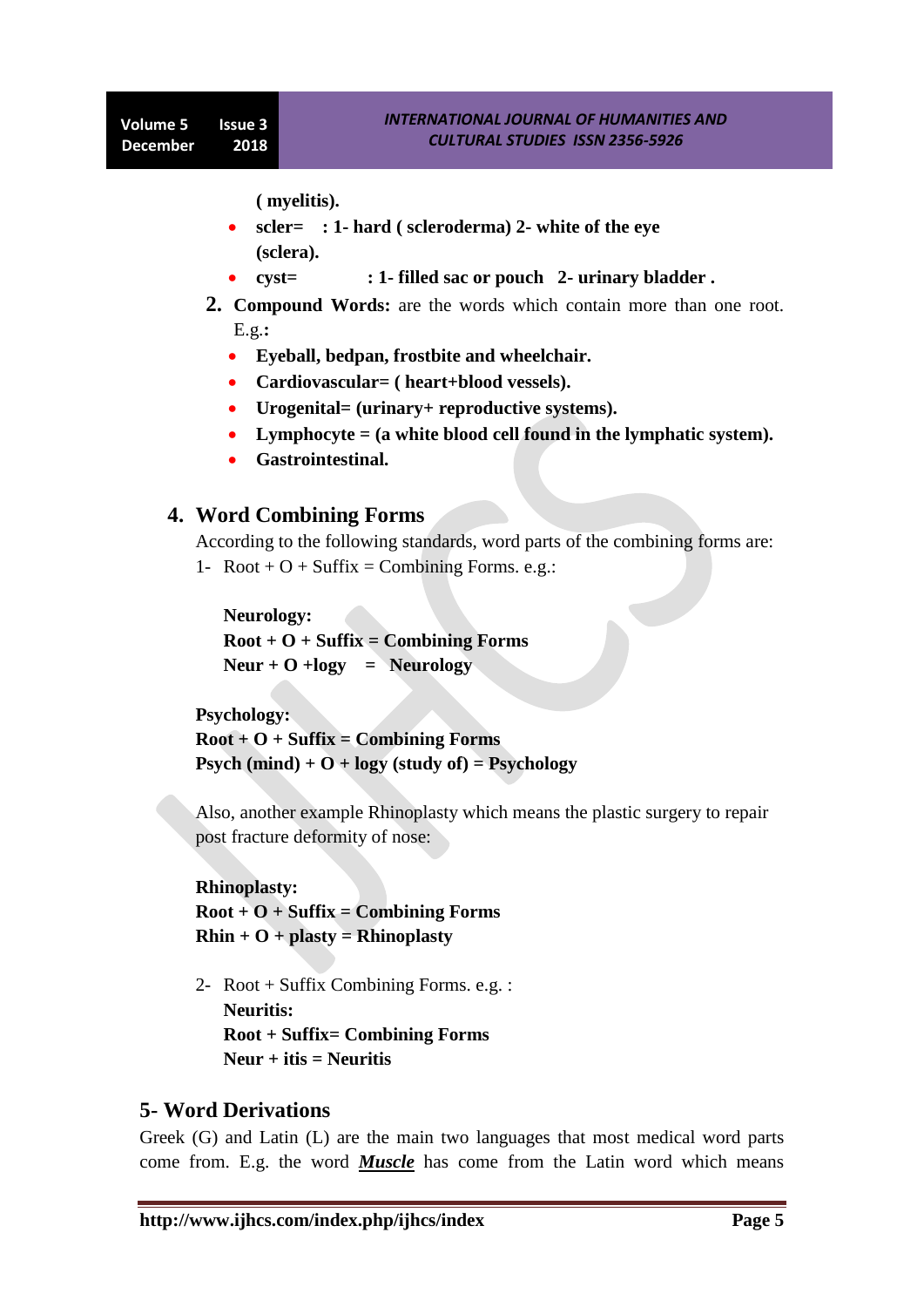**( myelitis).**

- **scler= : 1- hard ( scleroderma) 2- white of the eye (sclera).**
- **cyst= : 1- filled sac or pouch 2- urinary bladder .**
- **2. Compound Words:** are the words which contain more than one root. E.g.**:** 
	- **Eyeball, bedpan, frostbite and wheelchair.**
	- **Cardiovascular= ( heart+blood vessels).**
	- **Urogenital= (urinary+ reproductive systems).**
	- **Lymphocyte = (a white blood cell found in the lymphatic system).**
	- **Gastrointestinal.**

### **4. Word Combining Forms**

According to the following standards, word parts of the combining forms are:

1- Root +  $O$  + Suffix = Combining Forms. e.g.:

**Neurology: Root + O + Suffix = Combining Forms**   $Neur + O + logy = Neurology$ 

**Psychology:** 

**Root + O + Suffix = Combining Forms Psych (mind) + O + logy (study of) = Psychology**

Also, another example Rhinoplasty which means the plastic surgery to repair post fracture deformity of nose:

**Rhinoplasty: Root + O + Suffix = Combining Forms Rhin + O + plasty = Rhinoplasty**

2- Root + Suffix Combining Forms. e.g. : **Neuritis: Root + Suffix= Combining Forms Neur + itis = Neuritis**

### **5- Word Derivations**

Greek (G) and Latin (L) are the main two languages that most medical word parts come from. E.g. the word *Muscle* has come from the Latin word which means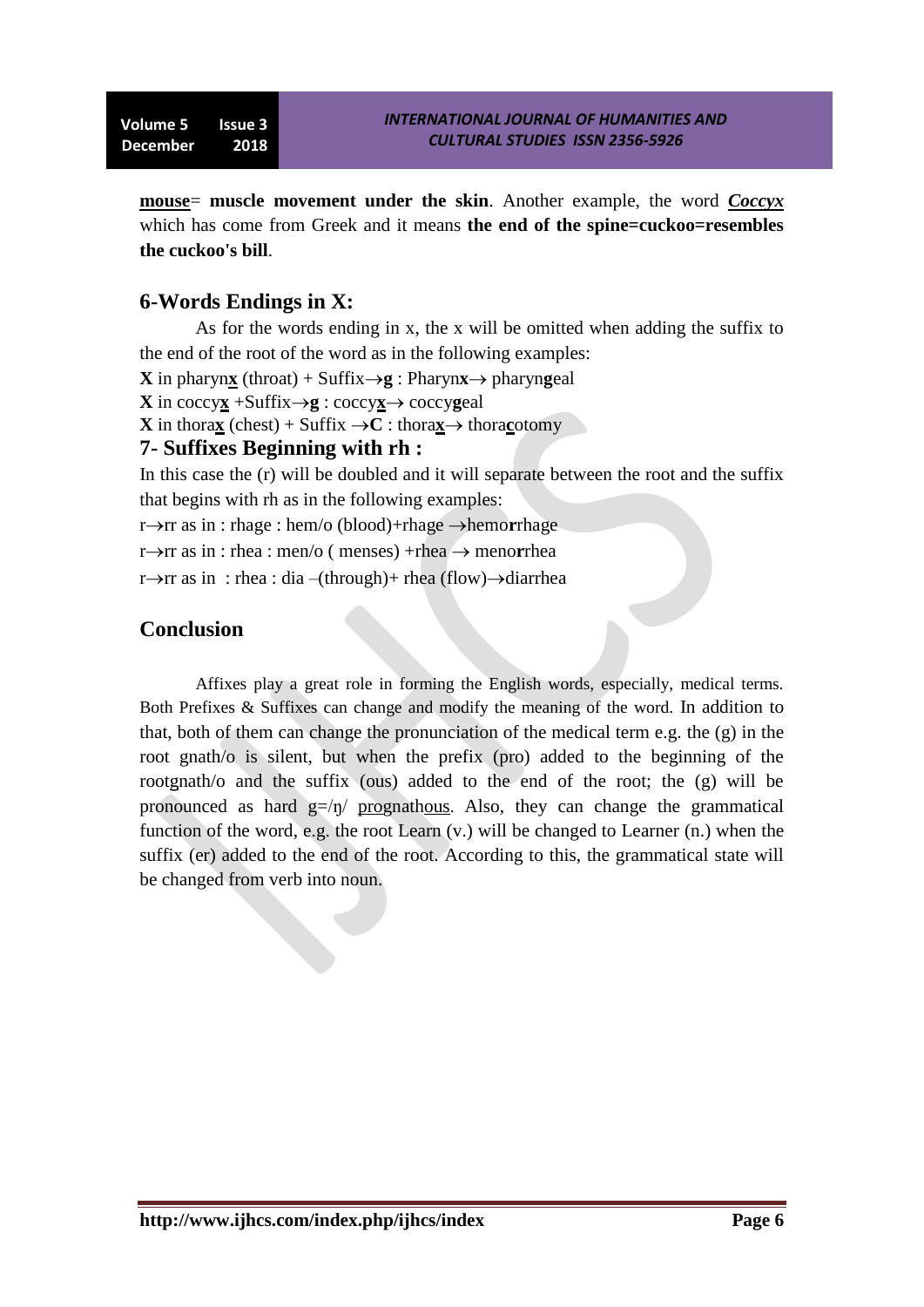**mouse**= **muscle movement under the skin**. Another example, the word *Coccyx* which has come from Greek and it means **the end of the spine=cuckoo=resembles the cuckoo's bill**.

## **6-Words Endings in X:**

As for the words ending in x, the x will be omitted when adding the suffix to the end of the root of the word as in the following examples:

**X** in pharyn**x** (throat) + Suffix $\rightarrow$ **g** : Pharyn**x** $\rightarrow$  pharyn**g**eal

**X** in coccy**x** + Suffix  $\rightarrow$  **g** : coccy**x** $\rightarrow$  coccy**g**eal

**X** in thora**x** (chest) + Suffix  $\rightarrow$ **C** : thora**x** $\rightarrow$  thoracotomy

### **7- Suffixes Beginning with rh :**

In this case the (r) will be doubled and it will separate between the root and the suffix that begins with rh as in the following examples:

r->rr as in : rhage : hem/o (blood)+rhage ->hemorrhage

r $\rightarrow$ rr as in : rhea : men/o ( menses) +rhea  $\rightarrow$  menorrhea

 $r \rightarrow r$ r as in : rhea : dia –(through)+ rhea (flow) $\rightarrow$ diarrhea

# **Conclusion**

Affixes play a great role in forming the English words, especially, medical terms. Both Prefixes & Suffixes can change and modify the meaning of the word. In addition to that, both of them can change the pronunciation of the medical term e.g. the (g) in the root gnath/o is silent, but when the prefix (pro) added to the beginning of the rootgnath/o and the suffix (ous) added to the end of the root; the (g) will be pronounced as hard  $g=/\eta$  prognathous. Also, they can change the grammatical function of the word, e.g. the root Learn  $(v)$ , will be changed to Learner  $(n)$ , when the suffix (er) added to the end of the root. According to this, the grammatical state will be changed from verb into noun.